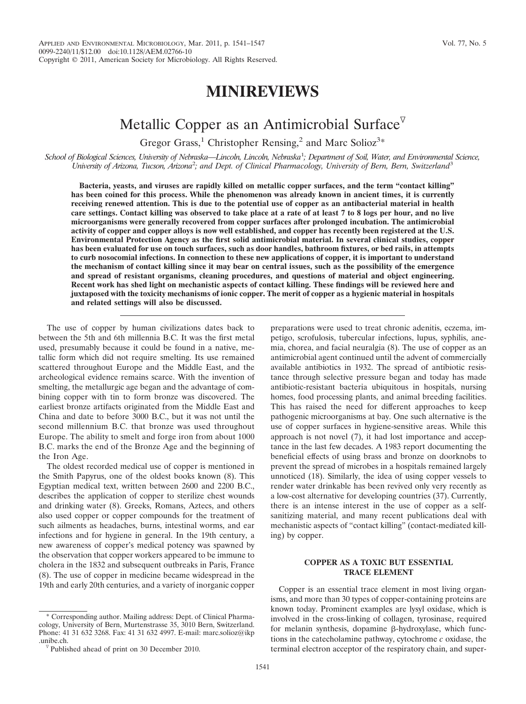# **MINIREVIEWS**

# Metallic Copper as an Antimicrobial Surface

Gregor Grass,<sup>1</sup> Christopher Rensing,<sup>2</sup> and Marc Solioz<sup>3\*</sup>

*School of Biological Sciences, University of Nebraska—Lincoln, Lincoln, Nebraska*<sup>1</sup> *; Department of Soil, Water, and Environmental Science, University of Arizona, Tucson, Arizona*<sup>2</sup> *; and Dept. of Clinical Pharmacology, University of Bern, Bern, Switzerland*<sup>3</sup>

**Bacteria, yeasts, and viruses are rapidly killed on metallic copper surfaces, and the term "contact killing" has been coined for this process. While the phenomenon was already known in ancient times, it is currently receiving renewed attention. This is due to the potential use of copper as an antibacterial material in health care settings. Contact killing was observed to take place at a rate of at least 7 to 8 logs per hour, and no live microorganisms were generally recovered from copper surfaces after prolonged incubation. The antimicrobial activity of copper and copper alloys is now well established, and copper has recently been registered at the U.S. Environmental Protection Agency as the first solid antimicrobial material. In several clinical studies, copper has been evaluated for use on touch surfaces, such as door handles, bathroom fixtures, or bed rails, in attempts to curb nosocomial infections. In connection to these new applications of copper, it is important to understand the mechanism of contact killing since it may bear on central issues, such as the possibility of the emergence and spread of resistant organisms, cleaning procedures, and questions of material and object engineering. Recent work has shed light on mechanistic aspects of contact killing. These findings will be reviewed here and juxtaposed with the toxicity mechanisms of ionic copper. The merit of copper as a hygienic material in hospitals and related settings will also be discussed.**

The use of copper by human civilizations dates back to between the 5th and 6th millennia B.C. It was the first metal used, presumably because it could be found in a native, metallic form which did not require smelting. Its use remained scattered throughout Europe and the Middle East, and the archeological evidence remains scarce. With the invention of smelting, the metallurgic age began and the advantage of combining copper with tin to form bronze was discovered. The earliest bronze artifacts originated from the Middle East and China and date to before 3000 B.C., but it was not until the second millennium B.C. that bronze was used throughout Europe. The ability to smelt and forge iron from about 1000 B.C. marks the end of the Bronze Age and the beginning of the Iron Age.

The oldest recorded medical use of copper is mentioned in the Smith Papyrus, one of the oldest books known (8). This Egyptian medical text, written between 2600 and 2200 B.C., describes the application of copper to sterilize chest wounds and drinking water (8). Greeks, Romans, Aztecs, and others also used copper or copper compounds for the treatment of such ailments as headaches, burns, intestinal worms, and ear infections and for hygiene in general. In the 19th century, a new awareness of copper's medical potency was spawned by the observation that copper workers appeared to be immune to cholera in the 1832 and subsequent outbreaks in Paris, France (8). The use of copper in medicine became widespread in the 19th and early 20th centuries, and a variety of inorganic copper

\* Corresponding author. Mailing address: Dept. of Clinical Pharmacology, University of Bern, Murtenstrasse 35, 3010 Bern, Switzerland. Phone: 41 31 632 3268. Fax: 41 31 632 4997. E-mail: marc.solioz@ikp

preparations were used to treat chronic adenitis, eczema, impetigo, scrofulosis, tubercular infections, lupus, syphilis, anemia, chorea, and facial neuralgia (8). The use of copper as an antimicrobial agent continued until the advent of commercially available antibiotics in 1932. The spread of antibiotic resistance through selective pressure began and today has made antibiotic-resistant bacteria ubiquitous in hospitals, nursing homes, food processing plants, and animal breeding facilities. This has raised the need for different approaches to keep pathogenic microorganisms at bay. One such alternative is the use of copper surfaces in hygiene-sensitive areas. While this approach is not novel (7), it had lost importance and acceptance in the last few decades. A 1983 report documenting the beneficial effects of using brass and bronze on doorknobs to prevent the spread of microbes in a hospitals remained largely unnoticed (18). Similarly, the idea of using copper vessels to render water drinkable has been revived only very recently as a low-cost alternative for developing countries (37). Currently, there is an intense interest in the use of copper as a selfsanitizing material, and many recent publications deal with mechanistic aspects of "contact killing" (contact-mediated killing) by copper.

## **COPPER AS A TOXIC BUT ESSENTIAL TRACE ELEMENT**

Copper is an essential trace element in most living organisms, and more than 30 types of copper-containing proteins are known today. Prominent examples are lysyl oxidase, which is involved in the cross-linking of collagen, tyrosinase, required for melanin synthesis, dopamine  $\beta$ -hydroxylase, which functions in the catecholamine pathway, cytochrome *c* oxidase, the terminal electron acceptor of the respiratory chain, and super-

 $\nabla$  Published ahead of print on 30 December 2010.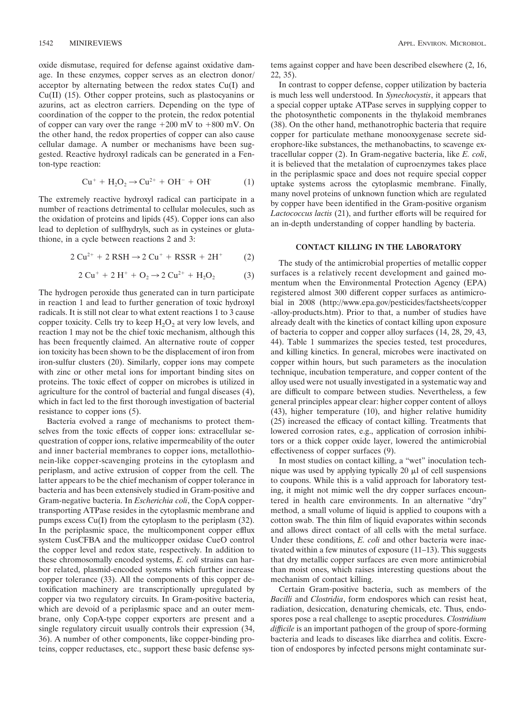oxide dismutase, required for defense against oxidative damage. In these enzymes, copper serves as an electron donor/ acceptor by alternating between the redox states Cu(I) and Cu(II) (15). Other copper proteins, such as plastocyanins or azurins, act as electron carriers. Depending on the type of coordination of the copper to the protein, the redox potential of copper can vary over the range  $+200$  mV to  $+800$  mV. On the other hand, the redox properties of copper can also cause cellular damage. A number or mechanisms have been suggested. Reactive hydroxyl radicals can be generated in a Fenton-type reaction:

$$
\mathrm{Cu^+} + \mathrm{H}_2\mathrm{O}_2 \rightarrow \mathrm{Cu^{2+}} + \mathrm{OH^{-}} + \mathrm{OH} \tag{1}
$$

The extremely reactive hydroxyl radical can participate in a number of reactions detrimental to cellular molecules, such as the oxidation of proteins and lipids (45). Copper ions can also lead to depletion of sulfhydryls, such as in cysteines or glutathione, in a cycle between reactions 2 and 3:

$$
2\,\text{Cu}^{2+} + 2\,\text{RSH} \to 2\,\text{Cu}^+ + \text{RSSR} + 2\text{H}^+ \tag{2}
$$

$$
2 Cu+ + 2 H+ + O2 \rightarrow 2 Cu2+ + H2O2
$$
 (3)

The hydrogen peroxide thus generated can in turn participate in reaction 1 and lead to further generation of toxic hydroxyl radicals. It is still not clear to what extent reactions 1 to 3 cause copper toxicity. Cells try to keep  $H_2O_2$  at very low levels, and reaction 1 may not be the chief toxic mechanism, although this has been frequently claimed. An alternative route of copper ion toxicity has been shown to be the displacement of iron from iron-sulfur clusters (20). Similarly, copper ions may compete with zinc or other metal ions for important binding sites on proteins. The toxic effect of copper on microbes is utilized in agriculture for the control of bacterial and fungal diseases (4), which in fact led to the first thorough investigation of bacterial resistance to copper ions (5).

Bacteria evolved a range of mechanisms to protect themselves from the toxic effects of copper ions: extracellular sequestration of copper ions, relative impermeability of the outer and inner bacterial membranes to copper ions, metallothionein-like copper-scavenging proteins in the cytoplasm and periplasm, and active extrusion of copper from the cell. The latter appears to be the chief mechanism of copper tolerance in bacteria and has been extensively studied in Gram-positive and Gram-negative bacteria. In *Escherichia coli*, the CopA coppertransporting ATPase resides in the cytoplasmic membrane and pumps excess Cu(I) from the cytoplasm to the periplasm (32). In the periplasmic space, the multicomponent copper efflux system CusCFBA and the multicopper oxidase CueO control the copper level and redox state, respectively. In addition to these chromosomally encoded systems, *E. coli* strains can harbor related, plasmid-encoded systems which further increase copper tolerance (33). All the components of this copper detoxification machinery are transcriptionally upregulated by copper via two regulatory circuits. In Gram-positive bacteria, which are devoid of a periplasmic space and an outer membrane, only CopA-type copper exporters are present and a single regulatory circuit usually controls their expression (34, 36). A number of other components, like copper-binding proteins, copper reductases, etc., support these basic defense systems against copper and have been described elsewhere (2, 16, 22, 35).

In contrast to copper defense, copper utilization by bacteria is much less well understood. In *Synechocystis*, it appears that a special copper uptake ATPase serves in supplying copper to the photosynthetic components in the thylakoid membranes (38). On the other hand, methanotrophic bacteria that require copper for particulate methane monooxygenase secrete siderophore-like substances, the methanobactins, to scavenge extracellular copper (2). In Gram-negative bacteria, like *E. coli*, it is believed that the metalation of cuproenzymes takes place in the periplasmic space and does not require special copper uptake systems across the cytoplasmic membrane. Finally, many novel proteins of unknown function which are regulated by copper have been identified in the Gram-positive organism *Lactococcus lactis* (21), and further efforts will be required for an in-depth understanding of copper handling by bacteria.

### **CONTACT KILLING IN THE LABORATORY**

The study of the antimicrobial properties of metallic copper surfaces is a relatively recent development and gained momentum when the Environmental Protection Agency (EPA) registered almost 300 different copper surfaces as antimicrobial in 2008 (http://www.epa.gov/pesticides/factsheets/copper -alloy-products.htm). Prior to that, a number of studies have already dealt with the kinetics of contact killing upon exposure of bacteria to copper and copper alloy surfaces (14, 28, 29, 43, 44). Table 1 summarizes the species tested, test procedures, and killing kinetics. In general, microbes were inactivated on copper within hours, but such parameters as the inoculation technique, incubation temperature, and copper content of the alloy used were not usually investigated in a systematic way and are difficult to compare between studies. Nevertheless, a few general principles appear clear: higher copper content of alloys (43), higher temperature (10), and higher relative humidity (25) increased the efficacy of contact killing. Treatments that lowered corrosion rates, e.g., application of corrosion inhibitors or a thick copper oxide layer, lowered the antimicrobial effectiveness of copper surfaces (9).

In most studies on contact killing, a "wet" inoculation technique was used by applying typically  $20 \mu l$  of cell suspensions to coupons. While this is a valid approach for laboratory testing, it might not mimic well the dry copper surfaces encountered in health care environments. In an alternative "dry" method, a small volume of liquid is applied to coupons with a cotton swab. The thin film of liquid evaporates within seconds and allows direct contact of all cells with the metal surface. Under these conditions, *E. coli* and other bacteria were inactivated within a few minutes of exposure (11–13). This suggests that dry metallic copper surfaces are even more antimicrobial than moist ones, which raises interesting questions about the mechanism of contact killing.

Certain Gram-positive bacteria, such as members of the *Bacilli* and *Clostridia*, form endospores which can resist heat, radiation, desiccation, denaturing chemicals, etc. Thus, endospores pose a real challenge to aseptic procedures. *Clostridium difficile* is an important pathogen of the group of spore-forming bacteria and leads to diseases like diarrhea and colitis. Excretion of endospores by infected persons might contaminate sur-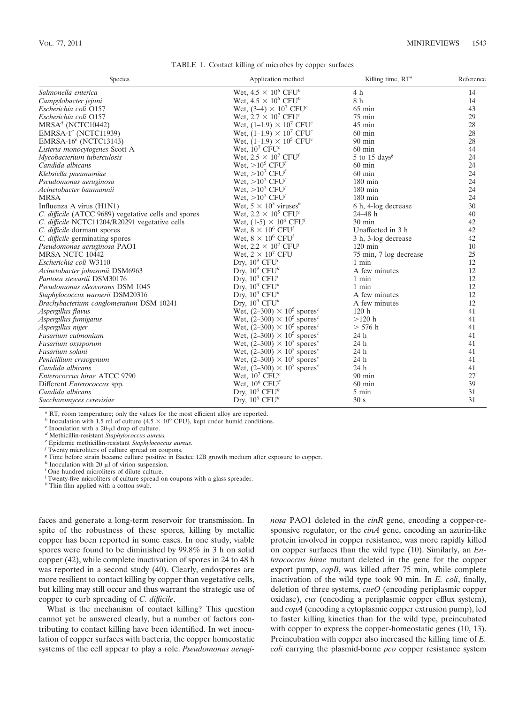|  |  |  |  |  | TABLE 1. Contact killing of microbes by copper surfaces |  |  |  |
|--|--|--|--|--|---------------------------------------------------------|--|--|--|
|--|--|--|--|--|---------------------------------------------------------|--|--|--|

| Species                                              | Application method                                      | Killing time, $RT^a$                   | Reference |
|------------------------------------------------------|---------------------------------------------------------|----------------------------------------|-----------|
| Salmonella enterica                                  | Wet, $4.5 \times 10^6$ CFU <sup>b</sup>                 | 4 h                                    | 14        |
| Campylobacter jejuni                                 | Wet, $4.5 \times 10^6$ CFU <sup>b</sup>                 | 8 h                                    | 14        |
| Escherichia coli O157                                | Wet, $(3-4) \times 10^7$ CFU <sup>c</sup>               | $65 \text{ min}$                       | 43        |
| Escherichia coli O157                                | Wet, $2.7 \times 10^7$ CFU <sup>c</sup>                 | $75$ min                               | 29        |
| MRSA <sup>d</sup> (NCTC10442)                        | Wet, $(1-1.9) \times 10^7$ CFU <sup>c</sup>             | $45 \text{ min}$                       | 28        |
| EMRSA-1e (NCTC11939)                                 | Wet, $(1-1.9) \times 10^7$ CFU <sup>c</sup>             | $60 \text{ min}$                       | 28        |
| EMRSA- $16^e$ (NCTC13143)                            | Wet, $(1-1.9) \times 10^5$ CFU <sup>c</sup>             | $90 \text{ min}$                       | 28        |
| Listeria monocytogenes Scott A                       | Wet, $10^7$ CFU <sup>c</sup>                            | $60 \text{ min}$                       | 44        |
| Mycobacterium tuberculosis                           | Wet, $2.5 \times 10^7$ CFU <sup><math>\ell</math></sup> | 5 to 15 days <sup><math>g</math></sup> | 24        |
| Candida albicans                                     | Wet, $>10^5$ CFU <sup>f</sup>                           | $60 \text{ min}$                       | 24        |
| Klebsiella pneumoniae                                | Wet, $>10^7$ CFU <sup><math>\text{f}</math></sup>       | $60 \text{ min}$                       | 24        |
| Pseudomonas aeruginosa                               | Wet, $>10^7$ CFU <sup><math>f</math></sup>              | $180 \text{ min}$                      | 24        |
| Acinetobacter baumannii                              | Wet, $>10^7$ CFU <sup><math>f</math></sup>              | $180$ min                              | 24        |
| <b>MRSA</b>                                          | Wet, $>10^7$ CFU <sup><math>\ell</math></sup>           | $180 \text{ min}$                      | 24        |
| Influenza A virus (H1N1)                             | Wet, $5 \times 10^5$ viruses <sup>h</sup>               | 6 h, 4-log decrease                    | 30        |
| C. difficile (ATCC 9689) vegetative cells and spores | Wet, $2.2 \times 10^5$ CFU <sup>c</sup>                 | 24-48 h                                | 40        |
| C. difficile NCTC11204/R20291 vegetative cells       | Wet, $(1-5) \times 10^6$ CFU <sup>i</sup>               | $30 \text{ min}$                       | 42        |
| C. difficile dormant spores                          | Wet, $8 \times 10^6$ CFU <sup>i</sup>                   | Unaffected in 3 h                      | 42        |
| C. difficile germinating spores                      | Wet, $8 \times 10^6$ CFU <sup>i</sup>                   | 3 h, 3-log decrease                    | 42        |
| Pseudomonas aeruginosa PAO1                          | Wet, $2.2 \times 10^7$ CFU <sup>j</sup>                 | $120 \text{ min}$                      | 10        |
| MRSA NCTC 10442                                      | Wet, $2 \times 10^7$ CFU                                | 75 min, 7 log decrease                 | 25        |
| Escherichia coli W3110                               | Dry, $10^9$ CFU <sup>i</sup>                            | $1$ min                                | 12        |
| Acinetobacter johnsonii DSM6963                      | Dry, $10^9$ CFU <sup>k</sup>                            | A few minutes                          | 12        |
| Pantoea stewartii DSM30176                           | Dry, $10^9$ CFU <sup>i</sup>                            | $1$ min                                | 12        |
| Pseudomonas oleovorans DSM 1045                      | Dry, $10^9$ CFU <sup>k</sup>                            | $1$ min                                | 12        |
| Staphylococcus warnerii DSM20316                     | Dry, $10^9$ CFU <sup>k</sup>                            | A few minutes                          | 12        |
| Brachybacterium conglomeratum DSM 10241              | Dry, $10^9$ CFU <sup>k</sup>                            | A few minutes                          | 12        |
| Aspergillus flavus                                   | Wet, $(2-300) \times 10^5$ spores <sup>c</sup>          | 120 <sub>h</sub>                       | 41        |
| Aspergillus fumigatus                                | Wet, $(2-300) \times 10^5$ spores <sup>c</sup>          | $>120$ h                               | 41        |
| Aspergillus niger                                    | Wet, $(2-300) \times 10^5$ spores <sup>c</sup>          | > 576 h                                | 41        |
| Fusarium culmonium                                   | Wet, $(2-300) \times 10^5$ spores <sup>c</sup>          | 24 h                                   | 41        |
| Fusarium oxysporum                                   | Wet, $(2-300) \times 10^5$ spores <sup>c</sup>          | 24 h                                   | 41        |
| Fusarium solani                                      | Wet, $(2-300) \times 10^5$ spores <sup>c</sup>          | 24 h                                   | 41        |
| Penicillium crysogenum                               | Wet, $(2-300) \times 10^5$ spores <sup>c</sup>          | 24 h                                   | 41        |
| Candida albicans                                     | Wet, $(2-300) \times 10^5$ spores <sup>c</sup>          | 24 h                                   | 41        |
| Enterococcus hirae ATCC 9790                         | Wet, $10^7$ CFU <sup>c</sup>                            | $90 \text{ min}$                       | 27        |
| Different <i>Enterococcus</i> spp.                   | Wet, $10^6$ CFU <sup><math>\ell</math></sup>            | $60 \text{ min}$                       | 39        |
| Candida albicans                                     | Dry, $10^6$ CFU <sup>k</sup>                            | 5 min                                  | 31        |
| Saccharomyces cerevisiae                             | Dry, $10^6$ CFU <sup>k</sup>                            | 30s                                    | 31        |

<sup>a</sup> RT, room temperature; only the values for the most efficient alloy are reported.

<sup>*b*</sup> Inoculation with 1.5 ml of culture (4.5 × 10<sup>6</sup> CFU), kept under humid conditions.<br>
<sup>*c*</sup> Inoculation with a 20-µl drop of culture.<br> *d* Methicillin-resistant *Staphylococcus aureus*.<br> *<sup>e</sup>* Epidemic methicillin-res

*<sup>g</sup>* Time before strain became culture positive in Bactec 12B growth medium after exposure to copper.

 $h$  Inoculation with 20  $\mu$ l of virion suspension.

<sup>*i*</sup> One hundred microliters of dilute culture.

*j* Twenty-five microliters of culture spread on coupons with a glass spreader.

*<sup>k</sup>* Thin film applied with a cotton swab.

faces and generate a long-term reservoir for transmission. In spite of the robustness of these spores, killing by metallic copper has been reported in some cases. In one study, viable spores were found to be diminished by 99.8% in 3 h on solid copper (42), while complete inactivation of spores in 24 to 48 h was reported in a second study (40). Clearly, endospores are more resilient to contact killing by copper than vegetative cells, but killing may still occur and thus warrant the strategic use of copper to curb spreading of *C. difficile*.

What is the mechanism of contact killing? This question cannot yet be answered clearly, but a number of factors contributing to contact killing have been identified. In wet inoculation of copper surfaces with bacteria, the copper homeostatic systems of the cell appear to play a role. *Pseudomonas aerugi-* *nosa* PAO1 deleted in the *cinR* gene, encoding a copper-responsive regulator, or the *cinA* gene, encoding an azurin-like protein involved in copper resistance, was more rapidly killed on copper surfaces than the wild type (10). Similarly, an *Enterococcus hirae* mutant deleted in the gene for the copper export pump, *copB*, was killed after 75 min, while complete inactivation of the wild type took 90 min. In *E. coli*, finally, deletion of three systems, *cueO* (encoding periplasmic copper oxidase), *cus* (encoding a periplasmic copper efflux system), and *copA* (encoding a cytoplasmic copper extrusion pump), led to faster killing kinetics than for the wild type, preincubated with copper to express the copper-homeostatic genes (10, 13). Preincubation with copper also increased the killing time of *E. coli* carrying the plasmid-borne *pco* copper resistance system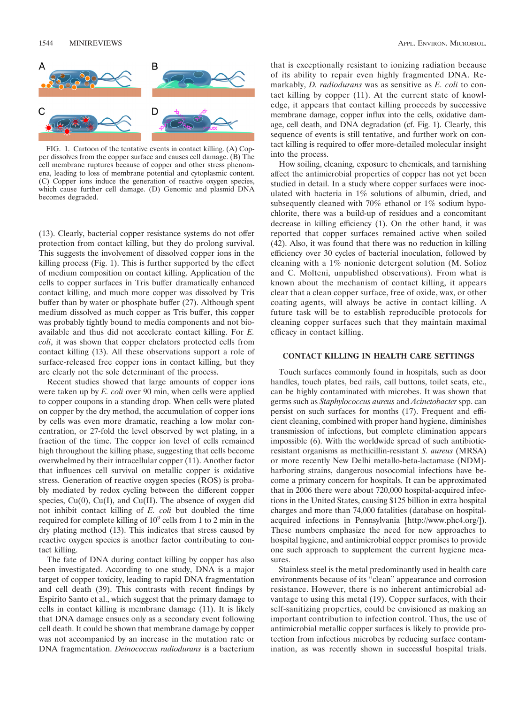

FIG. 1. Cartoon of the tentative events in contact killing. (A) Copper dissolves from the copper surface and causes cell damage. (B) The cell membrane ruptures because of copper and other stress phenomena, leading to loss of membrane potential and cytoplasmic content. (C) Copper ions induce the generation of reactive oxygen species, which cause further cell damage. (D) Genomic and plasmid DNA becomes degraded.

(13). Clearly, bacterial copper resistance systems do not offer protection from contact killing, but they do prolong survival. This suggests the involvement of dissolved copper ions in the killing process (Fig. 1). This is further supported by the effect of medium composition on contact killing. Application of the cells to copper surfaces in Tris buffer dramatically enhanced contact killing, and much more copper was dissolved by Tris buffer than by water or phosphate buffer (27). Although spent medium dissolved as much copper as Tris buffer, this copper was probably tightly bound to media components and not bioavailable and thus did not accelerate contact killing. For *E. coli*, it was shown that copper chelators protected cells from contact killing (13). All these observations support a role of surface-released free copper ions in contact killing, but they are clearly not the sole determinant of the process.

Recent studies showed that large amounts of copper ions were taken up by *E. coli* over 90 min, when cells were applied to copper coupons in a standing drop. When cells were plated on copper by the dry method, the accumulation of copper ions by cells was even more dramatic, reaching a low molar concentration, or 27-fold the level observed by wet plating, in a fraction of the time. The copper ion level of cells remained high throughout the killing phase, suggesting that cells become overwhelmed by their intracellular copper (11). Another factor that influences cell survival on metallic copper is oxidative stress. Generation of reactive oxygen species (ROS) is probably mediated by redox cycling between the different copper species, Cu(0), Cu(I), and Cu(II). The absence of oxygen did not inhibit contact killing of *E. coli* but doubled the time required for complete killing of  $10^9$  cells from 1 to 2 min in the dry plating method (13). This indicates that stress caused by reactive oxygen species is another factor contributing to contact killing.

The fate of DNA during contact killing by copper has also been investigated. According to one study, DNA is a major target of copper toxicity, leading to rapid DNA fragmentation and cell death (39). This contrasts with recent findings by Espirito Santo et al., which suggest that the primary damage to cells in contact killing is membrane damage (11). It is likely that DNA damage ensues only as a secondary event following cell death. It could be shown that membrane damage by copper was not accompanied by an increase in the mutation rate or DNA fragmentation. *Deinococcus radiodurans* is a bacterium

that is exceptionally resistant to ionizing radiation because of its ability to repair even highly fragmented DNA. Remarkably, *D. radiodurans* was as sensitive as *E. coli* to contact killing by copper (11). At the current state of knowledge, it appears that contact killing proceeds by successive membrane damage, copper influx into the cells, oxidative damage, cell death, and DNA degradation (cf. Fig. 1). Clearly, this sequence of events is still tentative, and further work on contact killing is required to offer more-detailed molecular insight into the process.

How soiling, cleaning, exposure to chemicals, and tarnishing affect the antimicrobial properties of copper has not yet been studied in detail. In a study where copper surfaces were inoculated with bacteria in 1% solutions of albumin, dried, and subsequently cleaned with 70% ethanol or 1% sodium hypochlorite, there was a build-up of residues and a concomitant decrease in killing efficiency (1). On the other hand, it was reported that copper surfaces remained active when soiled (42). Also, it was found that there was no reduction in killing efficiency over 30 cycles of bacterial inoculation, followed by cleaning with a 1% nonionic detergent solution (M. Solioz and C. Molteni, unpublished observations). From what is known about the mechanism of contact killing, it appears clear that a clean copper surface, free of oxide, wax, or other coating agents, will always be active in contact killing. A future task will be to establish reproducible protocols for cleaning copper surfaces such that they maintain maximal efficacy in contact killing.

### **CONTACT KILLING IN HEALTH CARE SETTINGS**

Touch surfaces commonly found in hospitals, such as door handles, touch plates, bed rails, call buttons, toilet seats, etc., can be highly contaminated with microbes. It was shown that germs such as *Staphylococcus aureus* and *Acinetobacter* spp. can persist on such surfaces for months (17). Frequent and efficient cleaning, combined with proper hand hygiene, diminishes transmission of infections, but complete elimination appears impossible (6). With the worldwide spread of such antibioticresistant organisms as methicillin-resistant *S. aureus* (MRSA) or more recently New Delhi metallo-beta-lactamase (NDM) harboring strains, dangerous nosocomial infections have become a primary concern for hospitals. It can be approximated that in 2006 there were about 720,000 hospital-acquired infections in the United States, causing \$125 billion in extra hospital charges and more than 74,000 fatalities (database on hospitalacquired infections in Pennsylvania [http://www.phc4.org/]). These numbers emphasize the need for new approaches to hospital hygiene, and antimicrobial copper promises to provide one such approach to supplement the current hygiene measures.

Stainless steel is the metal predominantly used in health care environments because of its "clean" appearance and corrosion resistance. However, there is no inherent antimicrobial advantage to using this metal (19). Copper surfaces, with their self-sanitizing properties, could be envisioned as making an important contribution to infection control. Thus, the use of antimicrobial metallic copper surfaces is likely to provide protection from infectious microbes by reducing surface contamination, as was recently shown in successful hospital trials.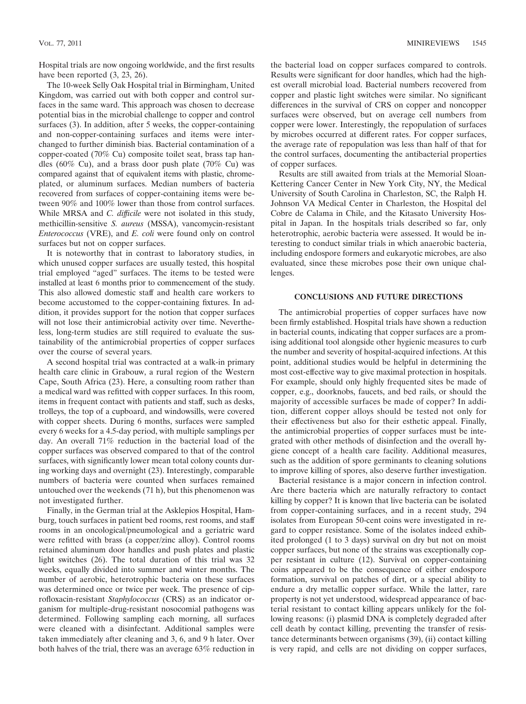Hospital trials are now ongoing worldwide, and the first results have been reported  $(3, 23, 26)$ .

The 10-week Selly Oak Hospital trial in Birmingham, United Kingdom, was carried out with both copper and control surfaces in the same ward. This approach was chosen to decrease potential bias in the microbial challenge to copper and control surfaces (3). In addition, after 5 weeks, the copper-containing and non-copper-containing surfaces and items were interchanged to further diminish bias. Bacterial contamination of a copper-coated (70% Cu) composite toilet seat, brass tap handles (60% Cu), and a brass door push plate (70% Cu) was compared against that of equivalent items with plastic, chromeplated, or aluminum surfaces. Median numbers of bacteria recovered from surfaces of copper-containing items were between 90% and 100% lower than those from control surfaces. While MRSA and *C. difficile* were not isolated in this study, methicillin-sensitive *S. aureus* (MSSA), vancomycin-resistant *Enterococcus* (VRE), and *E. coli* were found only on control surfaces but not on copper surfaces.

It is noteworthy that in contrast to laboratory studies, in which unused copper surfaces are usually tested, this hospital trial employed "aged" surfaces. The items to be tested were installed at least 6 months prior to commencement of the study. This also allowed domestic staff and health care workers to become accustomed to the copper-containing fixtures. In addition, it provides support for the notion that copper surfaces will not lose their antimicrobial activity over time. Nevertheless, long-term studies are still required to evaluate the sustainability of the antimicrobial properties of copper surfaces over the course of several years.

A second hospital trial was contracted at a walk-in primary health care clinic in Grabouw, a rural region of the Western Cape, South Africa (23). Here, a consulting room rather than a medical ward was refitted with copper surfaces. In this room, items in frequent contact with patients and staff, such as desks, trolleys, the top of a cupboard, and windowsills, were covered with copper sheets. During 6 months, surfaces were sampled every 6 weeks for a 4.5-day period, with multiple samplings per day. An overall 71% reduction in the bacterial load of the copper surfaces was observed compared to that of the control surfaces, with significantly lower mean total colony counts during working days and overnight (23). Interestingly, comparable numbers of bacteria were counted when surfaces remained untouched over the weekends (71 h), but this phenomenon was not investigated further.

Finally, in the German trial at the Asklepios Hospital, Hamburg, touch surfaces in patient bed rooms, rest rooms, and staff rooms in an oncological/pneumological and a geriatric ward were refitted with brass (a copper/zinc alloy). Control rooms retained aluminum door handles and push plates and plastic light switches (26). The total duration of this trial was 32 weeks, equally divided into summer and winter months. The number of aerobic, heterotrophic bacteria on these surfaces was determined once or twice per week. The presence of ciprofloxacin-resistant *Staphylococcus* (CRS) as an indicator organism for multiple-drug-resistant nosocomial pathogens was determined. Following sampling each morning, all surfaces were cleaned with a disinfectant. Additional samples were taken immediately after cleaning and 3, 6, and 9 h later. Over both halves of the trial, there was an average 63% reduction in

the bacterial load on copper surfaces compared to controls. Results were significant for door handles, which had the highest overall microbial load. Bacterial numbers recovered from copper and plastic light switches were similar. No significant differences in the survival of CRS on copper and noncopper surfaces were observed, but on average cell numbers from copper were lower. Interestingly, the repopulation of surfaces by microbes occurred at different rates. For copper surfaces, the average rate of repopulation was less than half of that for the control surfaces, documenting the antibacterial properties of copper surfaces.

Results are still awaited from trials at the Memorial Sloan-Kettering Cancer Center in New York City, NY, the Medical University of South Carolina in Charleston, SC, the Ralph H. Johnson VA Medical Center in Charleston, the Hospital del Cobre de Calama in Chile, and the Kitasato University Hospital in Japan. In the hospitals trials described so far, only heterotrophic, aerobic bacteria were assessed. It would be interesting to conduct similar trials in which anaerobic bacteria, including endospore formers and eukaryotic microbes, are also evaluated, since these microbes pose their own unique challenges.

## **CONCLUSIONS AND FUTURE DIRECTIONS**

The antimicrobial properties of copper surfaces have now been firmly established. Hospital trials have shown a reduction in bacterial counts, indicating that copper surfaces are a promising additional tool alongside other hygienic measures to curb the number and severity of hospital-acquired infections. At this point, additional studies would be helpful in determining the most cost-effective way to give maximal protection in hospitals. For example, should only highly frequented sites be made of copper, e.g., doorknobs, faucets, and bed rails, or should the majority of accessible surfaces be made of copper? In addition, different copper alloys should be tested not only for their effectiveness but also for their esthetic appeal. Finally, the antimicrobial properties of copper surfaces must be integrated with other methods of disinfection and the overall hygiene concept of a health care facility. Additional measures, such as the addition of spore germinants to cleaning solutions to improve killing of spores, also deserve further investigation.

Bacterial resistance is a major concern in infection control. Are there bacteria which are naturally refractory to contact killing by copper? It is known that live bacteria can be isolated from copper-containing surfaces, and in a recent study, 294 isolates from European 50-cent coins were investigated in regard to copper resistance. Some of the isolates indeed exhibited prolonged (1 to 3 days) survival on dry but not on moist copper surfaces, but none of the strains was exceptionally copper resistant in culture (12). Survival on copper-containing coins appeared to be the consequence of either endospore formation, survival on patches of dirt, or a special ability to endure a dry metallic copper surface. While the latter, rare property is not yet understood, widespread appearance of bacterial resistant to contact killing appears unlikely for the following reasons: (i) plasmid DNA is completely degraded after cell death by contact killing, preventing the transfer of resistance determinants between organisms (39), (ii) contact killing is very rapid, and cells are not dividing on copper surfaces,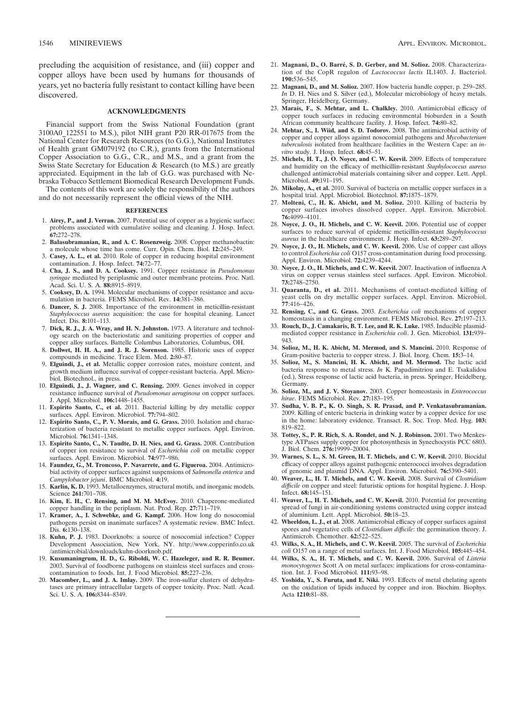precluding the acquisition of resistance, and (iii) copper and copper alloys have been used by humans for thousands of years, yet no bacteria fully resistant to contact killing have been discovered.

#### **ACKNOWLEDGMENTS**

Financial support from the Swiss National Foundation (grant 3100A0\_122551 to M.S.), pilot NIH grant P20 RR-017675 from the National Center for Research Resources (to G.G.), National Institutes of Health grant GM079192 (to C.R.), grants from the International Copper Association to G.G., C.R., and M.S., and a grant from the Swiss State Secretary for Education & Research (to M.S.) are greatly appreciated. Equipment in the lab of G.G. was purchased with Nebraska Tobacco Settlement Biomedical Research Development Funds.

The contents of this work are solely the responsibility of the authors and do not necessarily represent the official views of the NIH.

#### **REFERENCES**

- 1. **Airey, P., and J. Verran.** 2007. Potential use of copper as a hygienic surface; problems associated with cumulative soiling and cleaning. J. Hosp. Infect. **67:**272–278.
- 2. **Balasubramanian, R., and A. C. Rosenzweig.** 2008. Copper methanobactin: a molecule whose time has come. Curr. Opin. Chem. Biol. **12:**245–249.
- 3. **Casey, A. L., et al.** 2010. Role of copper in reducing hospital environment contamination. J. Hosp. Infect. **74:**72–77.
- 4. **Cha, J. S., and D. A. Cooksey.** 1991. Copper resistance in *Pseudomonas syringae* mediated by periplasmic and outer membrane proteins. Proc. Natl. Acad. Sci. U. S. A. **88:**8915–8919.
- 5. **Cooksey, D. A.** 1994. Molecular mechanisms of copper resistance and accumulation in bacteria. FEMS Microbiol. Rev. **14:**381–386.
- 6. **Dancer, S. J.** 2008. Importance of the environment in meticillin-resistant *Staphylococcus aureus* acquisition: the case for hospital cleaning. Lancet Infect. Dis. **8:**101–113.
- 7. **Dick, R. J., J. A. Wray, and H. N. Johnston.** 1973. A literature and technology search on the bacteriostatic and sanitizing properties of copper and copper alloy surfaces. Battelle Columbus Laboratories, Columbus, OH.
- 8. **Dollwet, H. H. A., and J. R. J. Sorenson.** 1985. Historic uses of copper compounds in medicine. Trace Elem. Med. **2:**80–87.
- 9. **Elguindi, J., et al.** Metallic copper corrosion rates, moisture content, and growth medium influence survival of copper-resistant bacteria. Appl. Microbiol. Biotechnol., in press.
- 10. **Elguindi, J., J. Wagner, and C. Rensing.** 2009. Genes involved in copper resistance influence survival of *Pseudomonas aeruginosa* on copper surfaces. J. Appl. Microbiol. **106:**1448–1455.
- 11. **Espirito Santo, C., et al.** 2011. Bacterial killing by dry metallic copper surfaces. Appl. Environ. Microbiol. **77:**794–802.
- 12. **Espirito Santo, C., P. V. Morais, and G. Grass.** 2010. Isolation and characterization of bacteria resistant to metallic copper surfaces. Appl. Environ. Microbiol. **76:**1341–1348.
- 13. **Espirito Santo, C., N. Taudte, D. H. Nies, and G. Grass.** 2008. Contribution of copper ion resistance to survival of *Escherichia coli* on metallic copper surfaces. Appl. Environ. Microbiol. **74:**977–986.
- 14. **Faundez, G., M. Troncoso, P. Navarrete, and G. Figueroa.** 2004. Antimicrobial activity of copper surfaces against suspensions of *Salmonella enterica* and *Campylobacter jejuni*. BMC Microbiol. **4:**19.
- 15. **Karlin, K. D.** 1993. Metalloenzymes, structural motifs, and inorganic models. Science **261:**701–708.
- 16. **Kim, E. H., C. Rensing, and M. M. McEvoy.** 2010. Chaperone-mediated copper handling in the periplasm. Nat. Prod. Rep. **27:**711–719.
- 17. **Kramer, A., I. Schwebke, and G. Kampf.** 2006. How long do nosocomial pathogens persist on inanimate surfaces? A systematic review. BMC Infect. Dis. **6:**130–138.
- Kuhn, P. J. 1983. Doorknobs: a source of nosocomial infection? Copper Development Association, New York, NY. http://www.copperinfo.co.uk /antimicrobial/downloads/kuhn-doorknob.pdf.
- 19. **Kusumaningrum, H. D., G. Riboldi, W. C. Hazeleger, and R. R. Beumer.** 2003. Survival of foodborne pathogens on stainless steel surfaces and crosscontamination to foods. Int. J. Food Microbiol. **85:**227–236.
- 20. **Macomber, L., and J. A. Imlay.** 2009. The iron-sulfur clusters of dehydratases are primary intracellular targets of copper toxicity. Proc. Natl. Acad. Sci. U. S. A. **106:**8344–8349.
- 21. **Magnani, D., O. Barre´, S. D. Gerber, and M. Solioz.** 2008. Characterization of the CopR regulon of *Lactococcus lactis* IL1403. J. Bacteriol. **190:**536–545.
- 22. **Magnani, D., and M. Solioz.** 2007. How bacteria handle copper, p. 259–285. *In* D. H. Nies and S. Silver (ed.), Molecular microbiology of heavy metals. Springer, Heidelberg, Germany.
- 23. **Marais, F., S. Mehtar, and L. Chalkley.** 2010. Antimicrobial efficacy of copper touch surfaces in reducing environmental bioburden in a South African community healthcare facility. J. Hosp. Infect. **74:**80–82.
- 24. **Mehtar, S., I. Wiid, and S. D. Todorov.** 2008. The antimicrobial activity of copper and copper alloys against nosocomial pathogens and *Mycobacterium tuberculosis* isolated from healthcare facilities in the Western Cape: an *invitro* study. J. Hosp. Infect. **68:**45–51.
- 25. **Michels, H. T., J. O. Noyce, and C. W. Keevil.** 2009. Effects of temperature and humidity on the efficacy of methicillin-resistant *Staphylococcus aureus* challenged antimicrobial materials containing silver and copper. Lett. Appl. Microbiol. **49:**191–195.
- 26. **Mikolay, A., et al.** 2010. Survival of bacteria on metallic copper surfaces in a hospital trial. Appl. Microbiol. Biotechnol. **87:**1875–1879.
- 27. **Molteni, C., H. K. Abicht, and M. Solioz.** 2010. Killing of bacteria by copper surfaces involves dissolved copper. Appl. Environ. Microbiol. **76:**4099–4101.
- 28. **Noyce, J. O., H. Michels, and C. W. Keevil.** 2006. Potential use of copper surfaces to reduce survival of epidemic meticillin-resistant *Staphylococcus aureus* in the healthcare environment. J. Hosp. Infect. **63:**289–297.
- 29. **Noyce, J. O., H. Michels, and C. W. Keevil.** 2006. Use of copper cast alloys to control *Escherichia coli* O157 cross-contamination during food processing. Appl. Environ. Microbiol. **72:**4239–4244.
- 30. **Noyce, J. O., H. Michels, and C. W. Keevil.** 2007. Inactivation of influenza A virus on copper versus stainless steel surfaces. Appl. Environ. Microbiol. **73:**2748–2750.
- 31. **Quaranta, D., et al.** 2011. Mechanisms of contact-mediated killing of yeast cells on dry metallic copper surfaces. Appl. Environ. Microbiol. **77**:416–426.
- 32. **Rensing, C., and G. Grass.** 2003. *Escherichia coli* mechanisms of copper homeostasis in a changing environment. FEMS Microbiol. Rev. **27:**197–213.
- 33. **Rouch, D., J. Camakaris, B. T. Lee, and R. K. Luke.** 1985. Inducible plasmidmediated copper resistance in *Escherichia coli*. J. Gen. Microbiol. **131:**939– 943.
- 34. **Solioz, M., H. K. Abicht, M. Mermod, and S. Mancini.** 2010. Response of Gram-positive bacteria to copper stress. J. Biol. Inorg. Chem. **15:**3–14.
- 35. **Solioz, M., S. Mancini, H. K. Abicht, and M. Mermod.** The lactic acid bacteria response to metal stress. *In* K. Papadimitriou and E. Tsakalidou (ed.), Stress response of lactic acid bacteria, in press. Springer, Heidelberg, Germany.
- 36. **Solioz, M., and J. V. Stoyanov.** 2003. Copper homeostasis in *Enterococcus hirae*. FEMS Microbiol. Rev. **27:**183–195.
- 37. **Sudha, V. B. P., K. O. Singh, S. R. Prasad, and P. Venkatasubramanian.** 2009. Killing of enteric bacteria in drinking water by a copper device for use in the home: laboratory evidence. Transact. R. Soc. Trop. Med. Hyg. **103:** 819–822.
- 38. **Tottey, S., P. R. Rich, S. A. Rondet, and N. J. Robinson.** 2001. Two Menkestype ATPases supply copper for photosynthesis in Synechocystis PCC 6803. J. Biol. Chem. **276:**19999–20004.
- 39. **Warnes, S. L., S. M. Green, H. T. Michels, and C. W. Keevil.** 2010. Biocidal efficacy of copper alloys against pathogenic enterococci involves degradation of genomic and plasmid DNA. Appl. Environ. Microbiol. **76:**5390–5401.
- 40. **Weaver, L., H. T. Michels, and C. W. Keevil.** 2008. Survival of *Clostridium difficile* on copper and steel: futuristic options for hospital hygiene. J. Hosp. Infect. **68:**145–151.
- 41. **Weaver, L., H. T. Michels, and C. W. Keevil.** 2010. Potential for preventing spread of fungi in air-conditioning systems constructed using copper instead of aluminium. Lett. Appl. Microbiol. **50:**18–23.
- 42. **Wheeldon, L. J., et al.** 2008. Antimicrobial efficacy of copper surfaces against spores and vegetative cells of *Clostridium difficile*: the germination theory. J. Antimicrob. Chemother. **62:**522–525.
- 43. **Wilks, S. A., H. Michels, and C. W. Keevil.** 2005. The survival of *Escherichia coli* O157 on a range of metal surfaces. Int. J. Food Microbiol. **105:**445–454.
- 44. **Wilks, S. A., H. T. Michels, and C. W. Keevil.** 2006. Survival of *Listeria monocytogenes* Scott A on metal surfaces: implications for cross-contamination. Int. J. Food Microbiol. **111:**93–98.
- 45. **Yoshida, Y., S. Furuta, and E. Niki.** 1993. Effects of metal chelating agents on the oxidation of lipids induced by copper and iron. Biochim. Biophys. Acta **1210:**81–88.